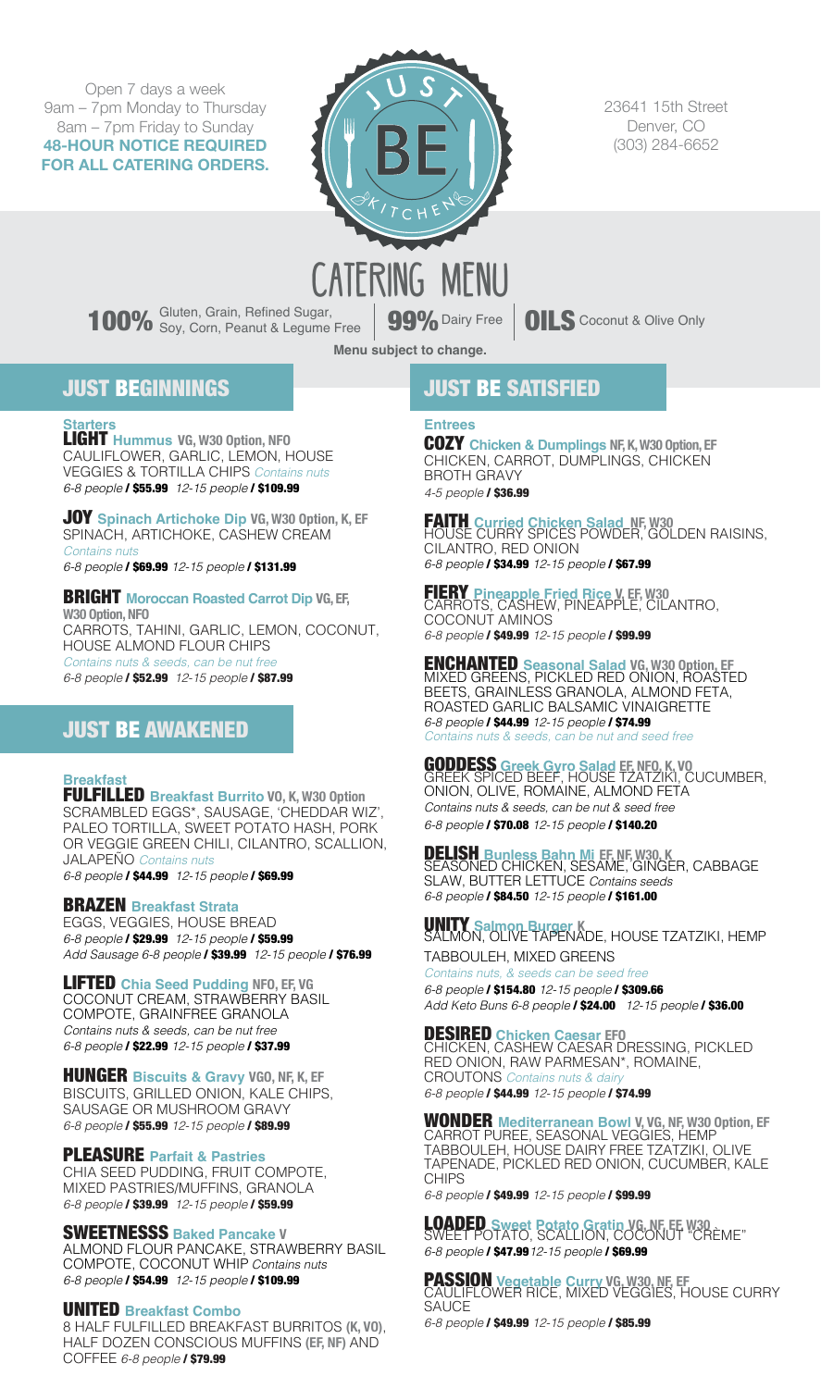Open 7 days a week 9am – 7pm Monday to Thursday 8am – 7pm Friday to Sunday **48-HOUR NOTICE REQUIRED FOR ALL CATERING ORDERS.**



23641 15th Street Denver, CO (303) 284-6652

100% Gluten, Grain, Refined Sugar, **99%** Dairy Free **CILS** Coconut & Olive Only

**Menu subject to change.**

## JUST BEGINNINGS

**Starters** LIGHT **Hummus VG, W30 Option, NFO** CAULIFLOWER, GARLIC, LEMON, HOUSE VEGGIES & TORTILLA CHIPS Contains nuts 6-8 people / \$55.99 12-15 people / \$109.99

JOY **Spinach Artichoke Dip VG, W30 Option, K, EF**  SPINACH, ARTICHOKE, CASHEW CREAM Contains nut 6-8 people / \$69.99 12-15 people / \$131.99

BRIGHT **Moroccan Roasted Carrot Dip VG, EF, W30 Option, NFO**  CARROTS, TAHINI, GARLIC, LEMON, COCONUT, HOUSE ALMOND FLOUR CHIPS Contains nuts & seeds, can be nut free 6-8 people / \$52.99 12-15 people / \$87.99

# JUST BE AWAKENED

**Breakfast** FULFILLED **Breakfast Burrito VO, K, W30 Option** SCRAMBLED EGGS\*, SAUSAGE, 'CHEDDAR WIZ', PALEO TORTILLA, SWEET POTATO HASH, PORK OR VEGGIE GREEN CHILI, CILANTRO, SCALLION, JALAPEÑO Contains nuts 6-8 people / \$44.99 12-15 people / \$69.99

## BRAZEN **Breakfast Strata**

EGGS, VEGGIES, HOUSE BREAD 6-8 people / \$29.99 12-15 people / \$59.99 Add Sausage 6-8 people / \$39.99 12-15 people / \$76.99

LIFTED **Chia Seed Pudding NFO, EF, VG** COCONUT CREAM, STRAWBERRY BASIL COMPOTE, GRAINFREE GRANOLA Contains nuts & seeds, can be nut free 6-8 people / \$22.99 12-15 people / \$37.99

HUNGER **Biscuits & Gravy VGO, NF, K, EF** BISCUITS, GRILLED ONION, KALE CHIPS, SAUSAGE OR MUSHROOM GRAVY 6-8 people / \$55.99 12-15 people / \$89.99

## PLEASURE **Parfait & Pastries**

CHIA SEED PUDDING, FRUIT COMPOTE, MIXED PASTRIES/MUFFINS, GRANOLA 6-8 people / \$39.99 12-15 people / \$59.99

SWEETNESSS **Baked Pancake V**

ALMOND FLOUR PANCAKE, STRAWBERRY BASIL COMPOTE, COCONUT WHIP Contains nuts 6-8 people / \$54.99 12-15 people / \$109.99

## UNITED **Breakfast Combo**

8 HALF FULFILLED BREAKFAST BURRITOS **(K, VO)**, HALF DOZEN CONSCIOUS MUFFINS **(EF, NF)** AND COFFEE 6-8 people / \$79.99

## JUST BE SATISFIED

## **Entrees**

COZY **Chicken & Dumplings NF, K,W30 Option, EF** CHICKEN, CARROT, DUMPLINGS, CHICKEN BROTH GRAVY  $4-5$  people  $/$  \$36.99

FAITH **Curried Chicken Salad NF, W30** HOUSE CURRY SPICES POWDER, GOLDEN RAISINS, CILANTRO, RED ONION 6-8 people / \$34.99 12-15 people / \$67.99

FIERY **Pineapple Fried Rice V, EF, W30** CARROTS, CASHEW, PINEAPPLE, CILANTRO, COCONUT AMINOS 6-8 people / \$49.99 12-15 people / \$99.99

ENCHANTED **Seasonal Salad VG, W30 Option, EF** MIXED GREENS, PICKLED RED ONION, ROASTED BEETS, GRAINLESS GRANOLA, ALMOND FETA, ROASTED GARLIC BALSAMIC VINAIGRETTE 6-8 people / \$44.99 12-15 people / \$74.99  $n$ tains nuts  $\&$  seeds, can be nut and

GODDESS **Greek Gyro Salad EF, NFO, K, VO** GREEK SPICED BEEF, HOUSE TZATZIKI, CUCUMBER, ONION, OLIVE, ROMAINE, ALMOND FETA Contains nuts & seeds, can be nut & seed free 6-8 people / \$70.08 12-15 people / \$140.20

DELISH **Bunless Bahn Mi EF, NF,W30, K** SEASONED CHICKEN, SESAME, GINGER, CABBAGE SLAW, BUTTER LETTUCE Contains seeds 6-8 people / \$84.50 12-15 people / \$161.00

UNITY **Salmon Burger K** SALMON, OLIVE TAPENADE, HOUSE TZATZIKI, HEMP

TABBOULEH, MIXED GREENS Contains nuts, & seeds can be seed free 6-8 people / \$154.80 12-15 people / \$309.66 Add Keto Buns 6-8 people / \$24.00 12-15 people / \$36.00

DESIRED **Chicken Caesar EFO** CHICKEN, CASHEW CAESAR DRESSING, PICKLED RED ONION, RAW PARMESAN\*, ROMAINE, CROUTONS Contains nuts & dairy 6-8 people / \$44.99 12-15 people / \$74.99

WONDER **Mediterranean Bowl V, VG, NF, W30 Option, EF** CARROT PUREE, SEASONAL VEGGIES, HEMP TABBOULEH, HOUSE DAIRY FREE TZATZIKI, OLIVE TAPENADE, PICKLED RED ONION, CUCUMBER, KALE CHIPS

6-8 people / \$49.99 12-15 people / \$99.99

LOADED **Sweet Potato Gratin VG, NF, EF, W30** SWEET POTATO, SCALLION, COCONUT "CRÈME" 6-8 people / \$47.9912-15 people / \$69.99

PASSION **Vegetable Curry VG, W30, NF, EF**  CAULIFLOWER RICE, MIXED VEGGIES, HOUSE CURRY SAUCE<sub></sub>

6-8 people / \$49.99 12-15 people / \$85.99